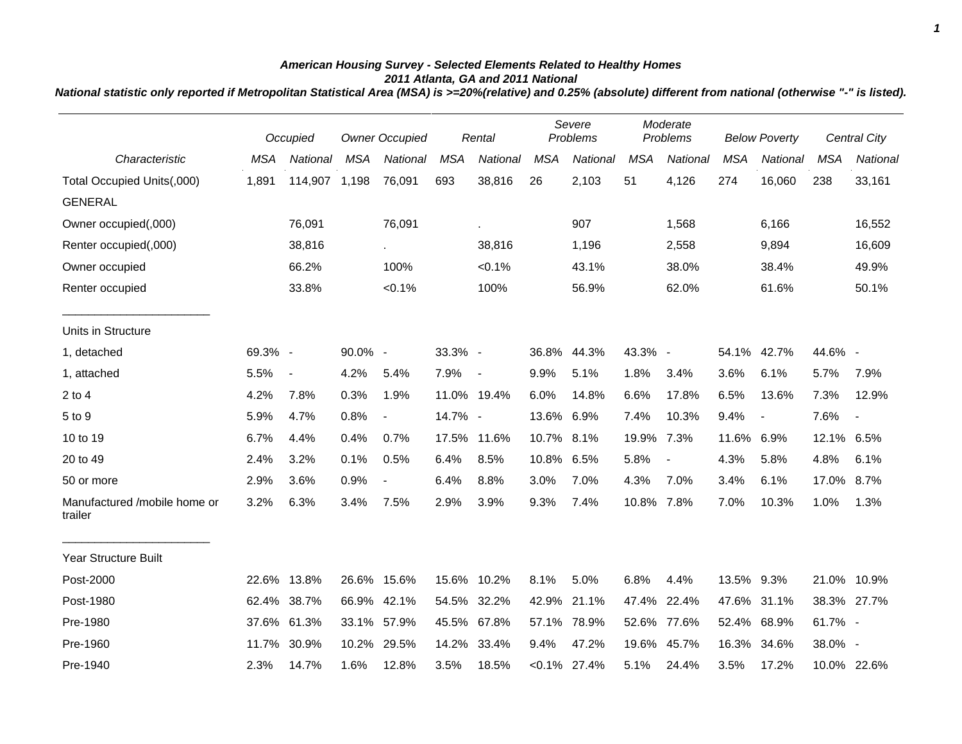## *American Housing Survey - Selected Elements Related to Healthy Homes 2011 Atlanta, GA and 2011 National*

*National statistic only reported if Metropolitan Statistical Area (MSA) is >=20%(relative) and 0.25% (absolute) different from national (otherwise "-" is listed).*

|                                         |            | Occupied                 | <b>Owner Occupied</b> |                          | Rental     |                          | Severe<br>Problems |                 | Moderate<br>Problems |                          | <b>Below Poverty</b> |                          |             | <b>Central City</b>      |
|-----------------------------------------|------------|--------------------------|-----------------------|--------------------------|------------|--------------------------|--------------------|-----------------|----------------------|--------------------------|----------------------|--------------------------|-------------|--------------------------|
| Characteristic                          | <b>MSA</b> | <b>National</b>          | <b>MSA</b>            | National                 | <b>MSA</b> | National                 | <b>MSA</b>         | <b>National</b> | <b>MSA</b>           | National                 | <b>MSA</b>           | National                 | <b>MSA</b>  | National                 |
| Total Occupied Units(,000)              | 1,891      | 114,907                  | 1,198                 | 76,091                   | 693        | 38,816                   | 26                 | 2,103           | 51                   | 4,126                    | 274                  | 16,060                   | 238         | 33,161                   |
| <b>GENERAL</b>                          |            |                          |                       |                          |            |                          |                    |                 |                      |                          |                      |                          |             |                          |
| Owner occupied(,000)                    |            | 76,091                   |                       | 76,091                   |            | à.                       |                    | 907             |                      | 1,568                    |                      | 6,166                    |             | 16,552                   |
| Renter occupied(,000)                   |            | 38,816                   |                       |                          |            | 38,816                   |                    | 1,196           |                      | 2,558                    |                      | 9,894                    |             | 16,609                   |
| Owner occupied                          |            | 66.2%                    |                       | 100%                     |            | $< 0.1\%$                |                    | 43.1%           |                      | 38.0%                    |                      | 38.4%                    |             | 49.9%                    |
| Renter occupied                         |            | 33.8%                    |                       | $< 0.1\%$                |            | 100%                     |                    | 56.9%           |                      | 62.0%                    |                      | 61.6%                    |             | 50.1%                    |
| Units in Structure                      |            |                          |                       |                          |            |                          |                    |                 |                      |                          |                      |                          |             |                          |
| 1, detached                             | 69.3% -    |                          | 90.0% -               |                          | 33.3% -    |                          |                    | 36.8% 44.3%     | 43.3% -              |                          |                      | 54.1% 42.7%              | 44.6% -     |                          |
| 1, attached                             | 5.5%       | $\overline{\phantom{a}}$ | 4.2%                  | 5.4%                     | 7.9%       | $\overline{\phantom{a}}$ | 9.9%               | 5.1%            | 1.8%                 | 3.4%                     | 3.6%                 | 6.1%                     | 5.7%        | 7.9%                     |
| $2$ to $4$                              | 4.2%       | 7.8%                     | 0.3%                  | 1.9%                     |            | 11.0% 19.4%              | 6.0%               | 14.8%           | 6.6%                 | 17.8%                    | 6.5%                 | 13.6%                    | 7.3%        | 12.9%                    |
| 5 to 9                                  | 5.9%       | 4.7%                     | 0.8%                  | $\overline{\phantom{a}}$ | 14.7% -    |                          | 13.6% 6.9%         |                 | 7.4%                 | 10.3%                    | 9.4%                 | $\overline{\phantom{a}}$ | 7.6%        | $\overline{\phantom{a}}$ |
| 10 to 19                                | 6.7%       | 4.4%                     | 0.4%                  | 0.7%                     |            | 17.5% 11.6%              | 10.7% 8.1%         |                 | 19.9%                | 7.3%                     | 11.6%                | 6.9%                     | 12.1% 6.5%  |                          |
| 20 to 49                                | 2.4%       | 3.2%                     | 0.1%                  | 0.5%                     | 6.4%       | 8.5%                     | 10.8% 6.5%         |                 | 5.8%                 | $\overline{\phantom{a}}$ | 4.3%                 | 5.8%                     | 4.8%        | 6.1%                     |
| 50 or more                              | 2.9%       | 3.6%                     | 0.9%                  | $\overline{\phantom{a}}$ | 6.4%       | 8.8%                     | 3.0%               | 7.0%            | 4.3%                 | 7.0%                     | 3.4%                 | 6.1%                     | 17.0%       | 8.7%                     |
| Manufactured /mobile home or<br>trailer | 3.2%       | 6.3%                     | 3.4%                  | 7.5%                     | 2.9%       | 3.9%                     | 9.3%               | 7.4%            | 10.8%                | 7.8%                     | 7.0%                 | 10.3%                    | 1.0%        | 1.3%                     |
| Year Structure Built                    |            |                          |                       |                          |            |                          |                    |                 |                      |                          |                      |                          |             |                          |
| Post-2000                               | 22.6%      | 13.8%                    | 26.6% 15.6%           |                          |            | 15.6% 10.2%              | 8.1%               | 5.0%            | 6.8%                 | 4.4%                     | 13.5% 9.3%           |                          | 21.0%       | 10.9%                    |
| Post-1980                               | 62.4%      | 38.7%                    | 66.9%                 | 42.1%                    | 54.5%      | 32.2%                    | 42.9%              | 21.1%           | 47.4%                | 22.4%                    | 47.6%                | 31.1%                    | 38.3% 27.7% |                          |
| Pre-1980                                | 37.6%      | 61.3%                    | 33.1% 57.9%           |                          | 45.5%      | 67.8%                    | 57.1%              | 78.9%           | 52.6%                | 77.6%                    | 52.4%                | 68.9%                    | 61.7% -     |                          |
| Pre-1960                                | 11.7%      | 30.9%                    | 10.2%                 | 29.5%                    | 14.2%      | 33.4%                    | 9.4%               | 47.2%           | 19.6%                | 45.7%                    | 16.3%                | 34.6%                    | 38.0% -     |                          |
| Pre-1940                                | 2.3%       | 14.7%                    | 1.6%                  | 12.8%                    | 3.5%       | 18.5%                    |                    | $< 0.1\%$ 27.4% | 5.1%                 | 24.4%                    | 3.5%                 | 17.2%                    |             | 10.0% 22.6%              |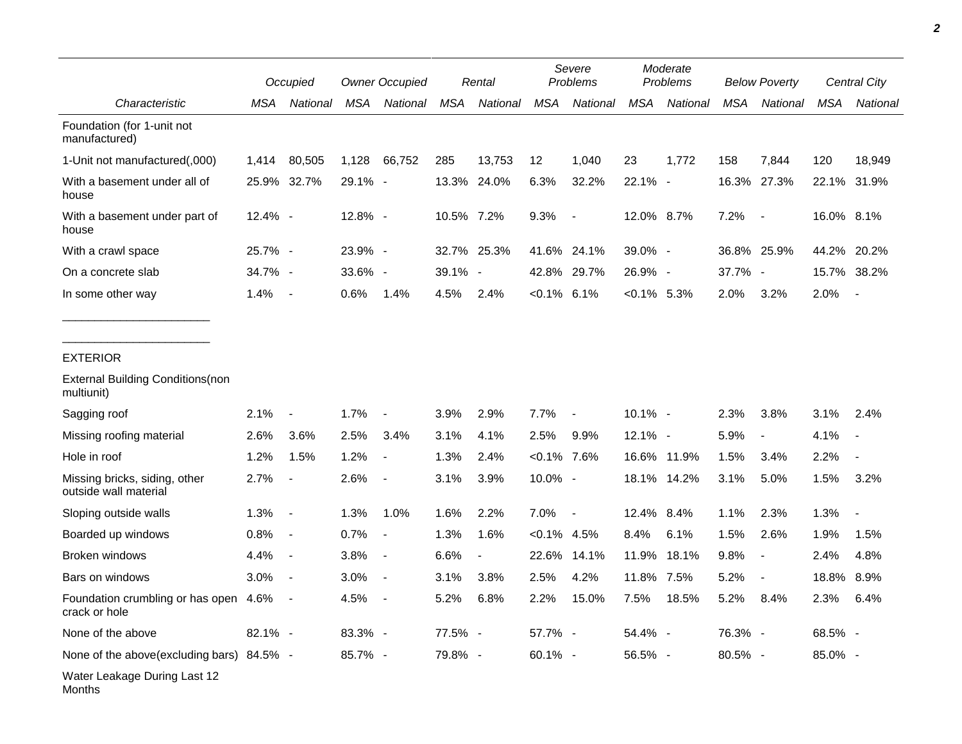|                                                        |            | Occupied                 |            | <b>Owner Occupied</b>    |             | Rental         |                | Severe<br>Problems       |                | Moderate<br>Problems |             | <b>Below Poverty</b>     |            | Central City |
|--------------------------------------------------------|------------|--------------------------|------------|--------------------------|-------------|----------------|----------------|--------------------------|----------------|----------------------|-------------|--------------------------|------------|--------------|
| Characteristic                                         | MSA        | National                 | MSA        | National                 | MSA         | National       | <b>MSA</b>     | National                 | <b>MSA</b>     | National             | MSA         | National                 | MSA        | National     |
| Foundation (for 1-unit not<br>manufactured)            |            |                          |            |                          |             |                |                |                          |                |                      |             |                          |            |              |
| 1-Unit not manufactured(,000)                          | 1.414      | 80,505                   | 1,128      | 66,752                   | 285         | 13,753         | 12             | 1,040                    | 23             | 1.772                | 158         | 7,844                    | 120        | 18,949       |
| With a basement under all of<br>house                  |            | 25.9% 32.7%              | 29.1% -    |                          | 13.3%       | 24.0%          | 6.3%           | 32.2%                    | $22.1\% -$     |                      | 16.3%       | 27.3%                    | 22.1%      | 31.9%        |
| With a basement under part of<br>house                 | 12.4% -    |                          | $12.8\%$ - |                          | 10.5% 7.2%  |                | 9.3%           | $\overline{\phantom{a}}$ | 12.0% 8.7%     |                      | 7.2%        | $\overline{\phantom{a}}$ | 16.0% 8.1% |              |
| With a crawl space                                     | 25.7% -    |                          | 23.9% -    |                          | 32.7% 25.3% |                |                | 41.6% 24.1%              | 39.0% -        |                      | 36.8% 25.9% |                          | 44.2%      | 20.2%        |
| On a concrete slab                                     | 34.7% -    |                          | 33.6% -    |                          | 39.1% -     |                |                | 42.8% 29.7%              | 26.9% -        |                      | 37.7% -     |                          | 15.7%      | 38.2%        |
| In some other way                                      | 1.4%       | $\sim$                   | $0.6\%$    | 1.4%                     | 4.5%        | 2.4%           | $< 0.1\%$ 6.1% |                          | $< 0.1\%$ 5.3% |                      | 2.0%        | 3.2%                     | 2.0%       |              |
|                                                        |            |                          |            |                          |             |                |                |                          |                |                      |             |                          |            |              |
| <b>EXTERIOR</b>                                        |            |                          |            |                          |             |                |                |                          |                |                      |             |                          |            |              |
| <b>External Building Conditions (non</b><br>multiunit) |            |                          |            |                          |             |                |                |                          |                |                      |             |                          |            |              |
| Sagging roof                                           | 2.1%       | $\overline{\phantom{a}}$ | 1.7%       | $\overline{\phantom{a}}$ | 3.9%        | 2.9%           | 7.7%           | $\overline{\phantom{a}}$ | 10.1% -        |                      | 2.3%        | 3.8%                     | 3.1%       | 2.4%         |
| Missing roofing material                               | 2.6%       | 3.6%                     | 2.5%       | 3.4%                     | 3.1%        | 4.1%           | 2.5%           | 9.9%                     | 12.1% -        |                      | 5.9%        | J.                       | 4.1%       |              |
| Hole in roof                                           | 1.2%       | 1.5%                     | 1.2%       | $\overline{a}$           | 1.3%        | 2.4%           | $< 0.1\%$ 7.6% |                          |                | 16.6% 11.9%          | 1.5%        | 3.4%                     | 2.2%       |              |
| Missing bricks, siding, other<br>outside wall material | 2.7%       | $\overline{\phantom{a}}$ | 2.6%       | $\overline{\phantom{a}}$ | 3.1%        | 3.9%           | 10.0% -        |                          |                | 18.1% 14.2%          | 3.1%        | 5.0%                     | 1.5%       | 3.2%         |
| Sloping outside walls                                  | 1.3%       | $\blacksquare$           | 1.3%       | 1.0%                     | 1.6%        | 2.2%           | 7.0%           | $\sim$                   | 12.4% 8.4%     |                      | 1.1%        | 2.3%                     | 1.3%       |              |
| Boarded up windows                                     | 0.8%       | $\sim$                   | 0.7%       | $\blacksquare$           | 1.3%        | 1.6%           | $< 0.1\%$ 4.5% |                          | 8.4%           | 6.1%                 | 1.5%        | 2.6%                     | 1.9%       | 1.5%         |
| <b>Broken windows</b>                                  | 4.4%       | $\sim$                   | 3.8%       | $\overline{\phantom{a}}$ | 6.6%        | $\blacksquare$ | 22.6%          | 14.1%                    | 11.9%          | 18.1%                | 9.8%        | $\overline{\phantom{a}}$ | 2.4%       | 4.8%         |
| Bars on windows                                        | 3.0%       | $\sim$                   | 3.0%       | $\blacksquare$           | 3.1%        | 3.8%           | 2.5%           | 4.2%                     | 11.8% 7.5%     |                      | 5.2%        | $\overline{\phantom{a}}$ | 18.8%      | 8.9%         |
| Foundation crumbling or has open<br>crack or hole      | 4.6%       | $\sim$                   | 4.5%       | $\overline{\phantom{a}}$ | 5.2%        | 6.8%           | 2.2%           | 15.0%                    | 7.5%           | 18.5%                | 5.2%        | 8.4%                     | 2.3%       | 6.4%         |
| None of the above                                      | $82.1\% -$ |                          | $83.3\% -$ |                          | 77.5% -     |                | 57.7% -        |                          | 54.4% -        |                      | 76.3% -     |                          | 68.5% -    |              |
| None of the above(excluding bars) 84.5% -              |            |                          | 85.7% -    |                          | 79.8% -     |                | 60.1% -        |                          | 56.5% -        |                      | 80.5% -     |                          | 85.0% -    |              |
| Water Leakage During Last 12                           |            |                          |            |                          |             |                |                |                          |                |                      |             |                          |            |              |

Months

٠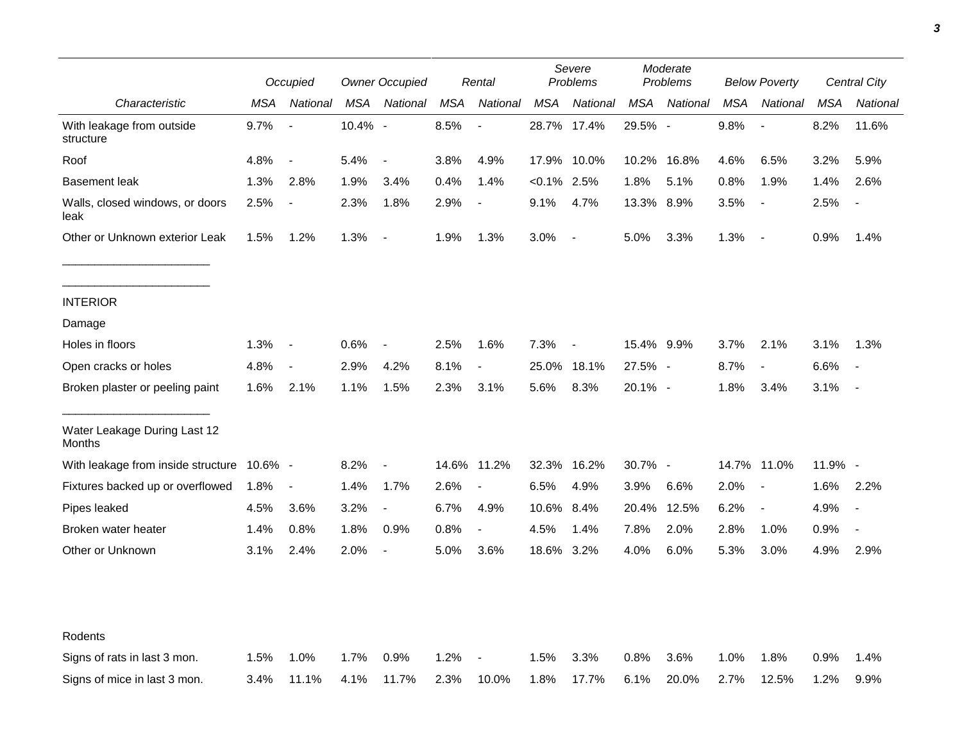|                                               | Occupied   |                          | <b>Owner Occupied</b> |                          | Rental     |                          | Severe<br>Problems |                          | Moderate<br>Problems |          | <b>Below Poverty</b> |                          | Central City |                          |
|-----------------------------------------------|------------|--------------------------|-----------------------|--------------------------|------------|--------------------------|--------------------|--------------------------|----------------------|----------|----------------------|--------------------------|--------------|--------------------------|
| Characteristic                                | <b>MSA</b> | National                 | <b>MSA</b>            | National                 | <b>MSA</b> | National                 | <b>MSA</b>         | National                 | <b>MSA</b>           | National | <b>MSA</b>           | National                 | <b>MSA</b>   | National                 |
| With leakage from outside<br>structure        | 9.7%       | $\overline{\phantom{a}}$ | 10.4% -               |                          | 8.5%       | $\overline{\phantom{a}}$ |                    | 28.7% 17.4%              | 29.5% -              |          | 9.8%                 | $\overline{\phantom{a}}$ | 8.2%         | 11.6%                    |
| Roof                                          | 4.8%       | $\overline{\phantom{a}}$ | 5.4%                  | $\sim$                   | 3.8%       | 4.9%                     | 17.9%              | 10.0%                    | 10.2%                | 16.8%    | 4.6%                 | 6.5%                     | 3.2%         | 5.9%                     |
| <b>Basement leak</b>                          | 1.3%       | 2.8%                     | 1.9%                  | 3.4%                     | 0.4%       | 1.4%                     | $< 0.1\%$ 2.5%     |                          | 1.8%                 | 5.1%     | 0.8%                 | 1.9%                     | 1.4%         | 2.6%                     |
| Walls, closed windows, or doors<br>leak       | 2.5%       | $\overline{\phantom{a}}$ | 2.3%                  | 1.8%                     | 2.9%       | $\blacksquare$           | 9.1%               | 4.7%                     | 13.3% 8.9%           |          | 3.5%                 | $\overline{\phantom{a}}$ | 2.5%         |                          |
| Other or Unknown exterior Leak                | 1.5%       | 1.2%                     | 1.3%                  | $\sim$                   | 1.9%       | 1.3%                     | 3.0%               | $\blacksquare$           | 5.0%                 | 3.3%     | 1.3%                 | $\sim$ $-$               | 0.9%         | 1.4%                     |
| <b>INTERIOR</b>                               |            |                          |                       |                          |            |                          |                    |                          |                      |          |                      |                          |              |                          |
| Damage                                        |            |                          |                       |                          |            |                          |                    |                          |                      |          |                      |                          |              |                          |
| Holes in floors                               | 1.3%       | $\sim$                   | 0.6%                  | $\overline{\phantom{a}}$ | 2.5%       | 1.6%                     | 7.3%               | $\overline{\phantom{a}}$ | 15.4% 9.9%           |          | 3.7%                 | 2.1%                     | 3.1%         | 1.3%                     |
| Open cracks or holes                          | 4.8%       | $\overline{\phantom{a}}$ | 2.9%                  | 4.2%                     | 8.1%       | $\blacksquare$           | 25.0%              | 18.1%                    | 27.5% -              |          | 8.7%                 | $\overline{\phantom{a}}$ | 6.6%         | $\overline{\phantom{a}}$ |
| Broken plaster or peeling paint               | 1.6%       | 2.1%                     | 1.1%                  | 1.5%                     | 2.3%       | 3.1%                     | 5.6%               | 8.3%                     | 20.1% -              |          | 1.8%                 | 3.4%                     | 3.1%         |                          |
| Water Leakage During Last 12<br><b>Months</b> |            |                          |                       |                          |            |                          |                    |                          |                      |          |                      |                          |              |                          |
| With leakage from inside structure            | 10.6% -    |                          | 8.2%                  | $\blacksquare$           |            | 14.6% 11.2%              | 32.3%              | 16.2%                    | 30.7% -              |          |                      | 14.7% 11.0%              | 11.9% -      |                          |
| Fixtures backed up or overflowed              | 1.8%       | $\blacksquare$           | 1.4%                  | 1.7%                     | 2.6%       | $\blacksquare$           | 6.5%               | 4.9%                     | 3.9%                 | 6.6%     | 2.0%                 | $\overline{\phantom{a}}$ | 1.6%         | 2.2%                     |
| Pipes leaked                                  | 4.5%       | 3.6%                     | 3.2%                  | $\overline{\phantom{a}}$ | 6.7%       | 4.9%                     | 10.6%              | 8.4%                     | 20.4%                | 12.5%    | 6.2%                 | $\overline{\phantom{a}}$ | 4.9%         | $\overline{\phantom{a}}$ |
| Broken water heater                           | 1.4%       | 0.8%                     | 1.8%                  | 0.9%                     | 0.8%       | $\overline{a}$           | 4.5%               | 1.4%                     | 7.8%                 | 2.0%     | 2.8%                 | 1.0%                     | 0.9%         | $\blacksquare$           |
| Other or Unknown                              | 3.1%       | 2.4%                     | 2.0%                  | $\overline{\phantom{a}}$ | 5.0%       | 3.6%                     | 18.6% 3.2%         |                          | 4.0%                 | 6.0%     | 5.3%                 | 3.0%                     | 4.9%         | 2.9%                     |
|                                               |            |                          |                       |                          |            |                          |                    |                          |                      |          |                      |                          |              |                          |
| Rodents                                       |            |                          |                       |                          |            |                          |                    |                          |                      |          |                      |                          |              |                          |
| Signs of rats in last 3 mon.                  | 1.5%       | 1.0%                     | 1.7%                  | 0.9%                     | 1.2%       | $\overline{\phantom{a}}$ | 1.5%               | 3.3%                     | 0.8%                 | 3.6%     | 1.0%                 | 1.8%                     | 0.9%         | 1.4%                     |
| Signs of mice in last 3 mon.                  | 3.4%       | 11.1%                    | 4.1%                  | 11.7%                    | 2.3%       | 10.0%                    | 1.8%               | 17.7%                    | 6.1%                 | 20.0%    | 2.7%                 | 12.5%                    | 1.2%         | 9.9%                     |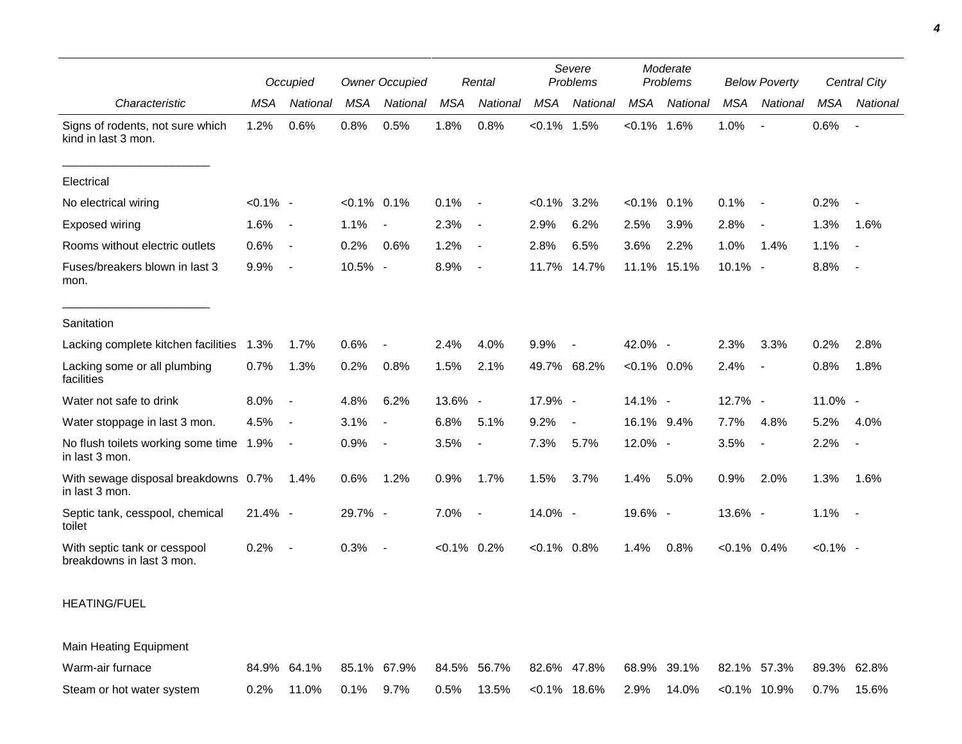|                                                           |             | Occupied                 |                | <b>Owner Occupied</b>    |                | Rental                   |                | Severe<br>Problems | Moderate<br>Problems |             | <b>Below Poverty</b> |                          | Central City |                          |
|-----------------------------------------------------------|-------------|--------------------------|----------------|--------------------------|----------------|--------------------------|----------------|--------------------|----------------------|-------------|----------------------|--------------------------|--------------|--------------------------|
| Characteristic                                            | <b>MSA</b>  | National                 | MSA            | <b>National</b>          | <b>MSA</b>     | National                 | MSA            | National           | <b>MSA</b>           | National    | <b>MSA</b>           | National                 | <b>MSA</b>   | National                 |
| Signs of rodents, not sure which<br>kind in last 3 mon.   | 1.2%        | 0.6%                     | 0.8%           | 0.5%                     | 1.8%           | 0.8%                     | $< 0.1\%$ 1.5% |                    | $< 0.1\%$ 1.6%       |             | 1.0%                 |                          | 0.6%         | $\blacksquare$           |
| Electrical                                                |             |                          |                |                          |                |                          |                |                    |                      |             |                      |                          |              |                          |
| No electrical wiring                                      | $< 0.1\%$ - |                          | $< 0.1\%$ 0.1% |                          | 0.1%           | $\blacksquare$           | $< 0.1\%$ 3.2% |                    | $< 0.1\%$            | 0.1%        | 0.1%                 | $\overline{\phantom{a}}$ | 0.2%         | $\overline{\phantom{a}}$ |
| Exposed wiring                                            | 1.6%        | $\blacksquare$           | 1.1%           | $\overline{\phantom{a}}$ | 2.3%           | $\overline{\phantom{a}}$ | 2.9%           | 6.2%               | 2.5%                 | 3.9%        | 2.8%                 | $\blacksquare$           | 1.3%         | 1.6%                     |
| Rooms without electric outlets                            | 0.6%        | $\overline{\phantom{a}}$ | 0.2%           | 0.6%                     | 1.2%           | $\overline{\phantom{a}}$ | 2.8%           | 6.5%               | 3.6%                 | 2.2%        | 1.0%                 | 1.4%                     | 1.1%         | $\sim$                   |
| Fuses/breakers blown in last 3<br>mon.                    | 9.9%        | $\overline{\phantom{a}}$ | 10.5% -        |                          | 8.9%           | $\overline{\phantom{a}}$ | 11.7%          | 14.7%              |                      | 11.1% 15.1% | $10.1\% -$           |                          | 8.8%         | $\sim$                   |
| Sanitation                                                |             |                          |                |                          |                |                          |                |                    |                      |             |                      |                          |              |                          |
| Lacking complete kitchen facilities                       | 1.3%        | 1.7%                     | 0.6%           |                          | 2.4%           | 4.0%                     | 9.9%           | $\blacksquare$     | 42.0% -              |             | 2.3%                 | 3.3%                     | 0.2%         | 2.8%                     |
| Lacking some or all plumbing<br>facilities                | 0.7%        | 1.3%                     | 0.2%           | 0.8%                     | 1.5%           | 2.1%                     |                | 49.7% 68.2%        | $< 0.1\%$ 0.0%       |             | 2.4%                 | $\blacksquare$           | 0.8%         | 1.8%                     |
| Water not safe to drink                                   | 8.0%        | $\blacksquare$           | 4.8%           | 6.2%                     | 13.6% -        |                          | 17.9% -        |                    | 14.1% -              |             | 12.7% -              |                          | 11.0% -      |                          |
| Water stoppage in last 3 mon.                             | 4.5%        | $\overline{\phantom{a}}$ | 3.1%           | $\overline{\phantom{a}}$ | 6.8%           | 5.1%                     | 9.2%           | $\blacksquare$     | 16.1% 9.4%           |             | 7.7%                 | 4.8%                     | 5.2%         | 4.0%                     |
| No flush toilets working some time 1.9%<br>in last 3 mon. |             | $\blacksquare$           | 0.9%           | $\sim$                   | 3.5%           | $\overline{\phantom{a}}$ | 7.3%           | 5.7%               | 12.0% -              |             | 3.5%                 | $\overline{\phantom{a}}$ | 2.2%         | $\overline{\phantom{a}}$ |
| With sewage disposal breakdowns 0.7%<br>in last 3 mon.    |             | 1.4%                     | 0.6%           | 1.2%                     | 0.9%           | 1.7%                     | 1.5%           | 3.7%               | 1.4%                 | 5.0%        | 0.9%                 | 2.0%                     | 1.3%         | 1.6%                     |
| Septic tank, cesspool, chemical<br>toilet                 | 21.4% -     |                          | 29.7% -        |                          | 7.0%           | $\overline{\phantom{a}}$ | 14.0% -        |                    | 19.6% -              |             | 13.6% -              |                          | 1.1%         | $\overline{a}$           |
| With septic tank or cesspool<br>breakdowns in last 3 mon. | 0.2%        | $\overline{\phantom{a}}$ | 0.3%           | $\sim$                   | $< 0.1\%$ 0.2% |                          | $< 0.1\%$ 0.8% |                    | 1.4%                 | 0.8%        | $< 0.1\%$ 0.4%       |                          | $< 0.1\%$ -  |                          |
|                                                           |             |                          |                |                          |                |                          |                |                    |                      |             |                      |                          |              |                          |

## HEATING/FUEL

Main Heating Equipment Warm-air furnace 84.9% 64.1% 85.1% 67.9% 84.5% 56.7% 82.6% 47.8% 68.9% 39.1% 82.1% 57.3% 89.3% 62.8% Steam or hot water system 0.2% 11.0% 0.1% 9.7% 0.5% 13.5% <0.1% 18.6% 2.9% 14.0% <0.1% 10.9% 0.7% 15.6%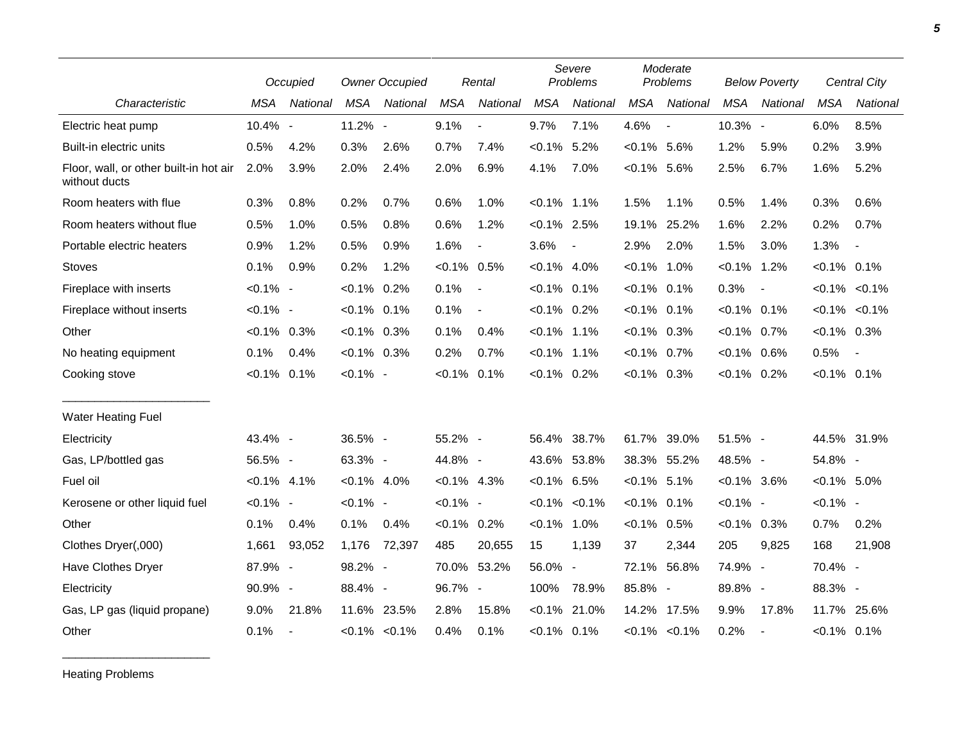|                                                         |                | Occupied                 |                | <b>Owner Occupied</b> |                | Rental                   |                | Severe<br>Problems       |                | Moderate<br>Problems     |                | <b>Below Poverty</b>     |                | Central City             |
|---------------------------------------------------------|----------------|--------------------------|----------------|-----------------------|----------------|--------------------------|----------------|--------------------------|----------------|--------------------------|----------------|--------------------------|----------------|--------------------------|
| Characteristic                                          | MSA            | National                 | <b>MSA</b>     | National              | <b>MSA</b>     | National                 | <b>MSA</b>     | National                 | <b>MSA</b>     | National                 | <b>MSA</b>     | National                 | <b>MSA</b>     | National                 |
| Electric heat pump                                      | 10.4% -        |                          | 11.2% -        |                       | 9.1%           | $\overline{\phantom{a}}$ | 9.7%           | 7.1%                     | 4.6%           | $\overline{\phantom{a}}$ | 10.3% -        |                          | 6.0%           | 8.5%                     |
| Built-in electric units                                 | 0.5%           | 4.2%                     | 0.3%           | 2.6%                  | 0.7%           | 7.4%                     | $< 0.1\%$      | 5.2%                     | $< 0.1\%$      | 5.6%                     | 1.2%           | 5.9%                     | 0.2%           | 3.9%                     |
| Floor, wall, or other built-in hot air<br>without ducts | 2.0%           | 3.9%                     | 2.0%           | 2.4%                  | 2.0%           | 6.9%                     | 4.1%           | 7.0%                     | $< 0.1\%$ 5.6% |                          | 2.5%           | 6.7%                     | 1.6%           | 5.2%                     |
| Room heaters with flue                                  | 0.3%           | 0.8%                     | 0.2%           | 0.7%                  | 0.6%           | 1.0%                     | $< 0.1\%$ 1.1% |                          | 1.5%           | 1.1%                     | 0.5%           | 1.4%                     | 0.3%           | 0.6%                     |
| Room heaters without flue                               | 0.5%           | 1.0%                     | 0.5%           | 0.8%                  | 0.6%           | 1.2%                     | $< 0.1\%$ 2.5% |                          | 19.1%          | 25.2%                    | 1.6%           | 2.2%                     | 0.2%           | 0.7%                     |
| Portable electric heaters                               | 0.9%           | 1.2%                     | 0.5%           | 0.9%                  | 1.6%           | $\blacksquare$           | 3.6%           | $\overline{\phantom{a}}$ | 2.9%           | 2.0%                     | 1.5%           | 3.0%                     | 1.3%           | $\overline{\phantom{a}}$ |
| <b>Stoves</b>                                           | 0.1%           | 0.9%                     | 0.2%           | 1.2%                  | $< 0.1\%$ 0.5% |                          | $< 0.1\%$ 4.0% |                          | $< 0.1\%$      | 1.0%                     | $< 0.1\%$      | 1.2%                     | $< 0.1\%$ 0.1% |                          |
| Fireplace with inserts                                  | $< 0.1\%$ -    |                          | $< 0.1\%$      | 0.2%                  | 0.1%           | $\blacksquare$           | $< 0.1\%$ 0.1% |                          | $< 0.1\%$      | 0.1%                     | 0.3%           | $\overline{\phantom{a}}$ |                | $< 0.1\%$ $< 0.1\%$      |
| Fireplace without inserts                               | $< 0.1\%$ -    |                          | $< 0.1\%$ 0.1% |                       | 0.1%           | $\overline{\phantom{a}}$ | $< 0.1\%$ 0.2% |                          | $< 0.1\%$ 0.1% |                          | $< 0.1\%$ 0.1% |                          |                | $< 0.1\%$ $< 0.1\%$      |
| Other                                                   | $< 0.1\%$ 0.3% |                          | $< 0.1\%$ 0.3% |                       | 0.1%           | 0.4%                     | $< 0.1\%$ 1.1% |                          | $< 0.1\%$ 0.3% |                          | $< 0.1\%$ 0.7% |                          | $< 0.1\%$ 0.3% |                          |
| No heating equipment                                    | 0.1%           | 0.4%                     | $< 0.1\%$ 0.3% |                       | 0.2%           | 0.7%                     | $< 0.1\%$ 1.1% |                          | $< 0.1\%$ 0.7% |                          | $< 0.1\%$ 0.6% |                          | 0.5%           | $\sim$                   |
| Cooking stove                                           | $< 0.1\%$      | 0.1%                     | $< 0.1\%$ -    |                       | $< 0.1\%$ 0.1% |                          | $< 0.1\%$ 0.2% |                          | $<0.1\%$ 0.3%  |                          | $< 0.1\%$ 0.2% |                          | $< 0.1\%$ 0.1% |                          |
| <b>Water Heating Fuel</b>                               |                |                          |                |                       |                |                          |                |                          |                |                          |                |                          |                |                          |
| Electricity                                             | 43.4% -        |                          | 36.5% -        |                       | 55.2% -        |                          |                | 56.4% 38.7%              | 61.7%          | 39.0%                    | 51.5% -        |                          |                | 44.5% 31.9%              |
| Gas, LP/bottled gas                                     | 56.5% -        |                          | 63.3% -        |                       | 44.8% -        |                          | 43.6% 53.8%    |                          |                | 38.3% 55.2%              | 48.5% -        |                          | 54.8% -        |                          |
| Fuel oil                                                | $< 0.1\%$ 4.1% |                          | $< 0.1\%$ 4.0% |                       | $< 0.1\%$ 4.3% |                          | $< 0.1\%$ 6.5% |                          | $< 0.1\%$ 5.1% |                          | $< 0.1\%$ 3.6% |                          | $< 0.1\%$ 5.0% |                          |
| Kerosene or other liquid fuel                           | $< 0.1\%$ -    |                          | $< 0.1\%$ -    |                       | $< 0.1\%$ -    |                          |                | $< 0.1\% < 0.1\%$        | $< 0.1\%$      | 0.1%                     | $< 0.1\%$ -    |                          | $< 0.1\%$ -    |                          |
| Other                                                   | 0.1%           | 0.4%                     | 0.1%           | 0.4%                  | $< 0.1\%$ 0.2% |                          | $< 0.1\%$ 1.0% |                          | $< 0.1\%$      | 0.5%                     | $< 0.1\%$ 0.3% |                          | 0.7%           | 0.2%                     |
| Clothes Dryer(,000)                                     | 1,661          | 93,052                   | 1,176          | 72,397                | 485            | 20,655                   | 15             | 1,139                    | 37             | 2,344                    | 205            | 9,825                    | 168            | 21,908                   |
| Have Clothes Dryer                                      | 87.9% -        |                          | 98.2% -        |                       |                | 70.0% 53.2%              | 56.0%          | $\overline{\phantom{a}}$ | 72.1%          | 56.8%                    | 74.9% -        |                          | 70.4% -        |                          |
| Electricity                                             | 90.9% -        |                          | 88.4% -        |                       | 96.7% -        |                          | 100%           | 78.9%                    | 85.8% -        |                          | 89.8% -        |                          | 88.3% -        |                          |
| Gas, LP gas (liquid propane)                            | 9.0%           | 21.8%                    | 11.6% 23.5%    |                       | 2.8%           | 15.8%                    | $< 0.1\%$      | 21.0%                    |                | 14.2% 17.5%              | 9.9%           | 17.8%                    | 11.7%          | 25.6%                    |
| Other                                                   | 0.1%           | $\overline{\phantom{a}}$ |                | $< 0.1\%$ $< 0.1\%$   | 0.4%           | 0.1%                     | $< 0.1\%$ 0.1% |                          |                | $< 0.1\%$ $< 0.1\%$      | 0.2%           | $\overline{\phantom{a}}$ | $< 0.1\%$ 0.1% |                          |

Heating Problems

\_\_\_\_\_\_\_\_\_\_\_\_\_\_\_\_\_\_\_\_\_\_\_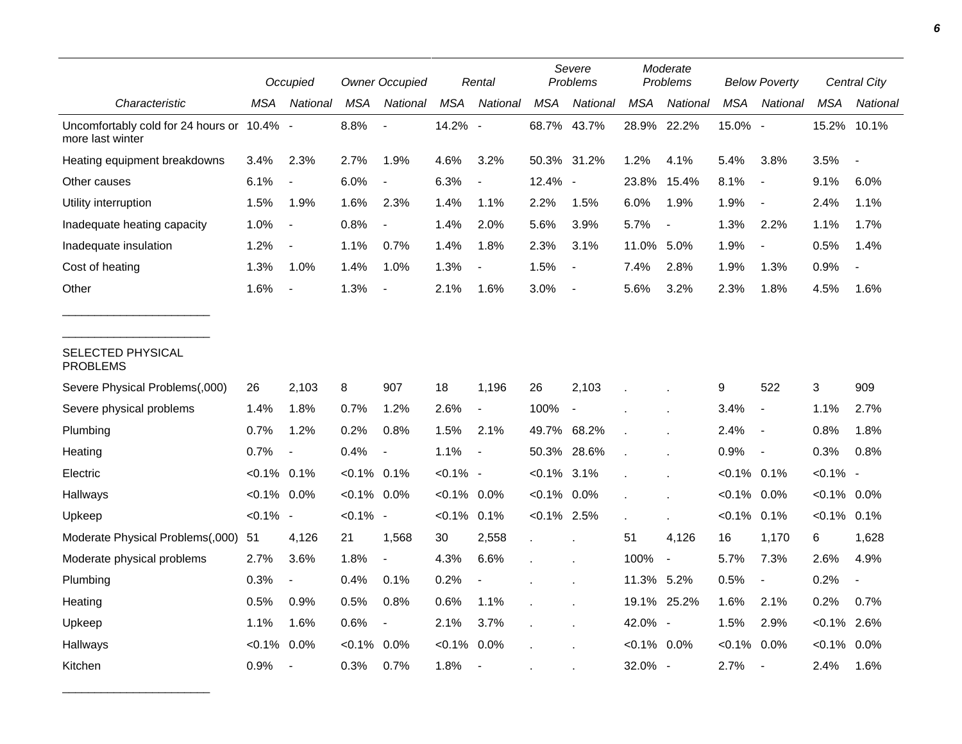|                                                                |                | Occupied                 |                | <b>Owner Occupied</b>    |                | Rental                   | Severe<br>Problems |                          | Moderate<br>Problems |                          | <b>Below Poverty</b> |                          | <b>Central City</b> |          |
|----------------------------------------------------------------|----------------|--------------------------|----------------|--------------------------|----------------|--------------------------|--------------------|--------------------------|----------------------|--------------------------|----------------------|--------------------------|---------------------|----------|
| Characteristic                                                 | MSA            | National                 | <b>MSA</b>     | National                 | <b>MSA</b>     | National                 | <b>MSA</b>         | National                 | MSA                  | National                 | MSA                  | <b>National</b>          | MSA                 | National |
| Uncomfortably cold for 24 hours or 10.4% -<br>more last winter |                |                          | 8.8%           |                          | 14.2% -        |                          | 68.7% 43.7%        |                          | 28.9%                | 22.2%                    | 15.0% -              |                          | 15.2%               | 10.1%    |
| Heating equipment breakdowns                                   | 3.4%           | 2.3%                     | 2.7%           | 1.9%                     | 4.6%           | 3.2%                     | 50.3% 31.2%        |                          | 1.2%                 | 4.1%                     | 5.4%                 | 3.8%                     | 3.5%                |          |
| Other causes                                                   | 6.1%           | $\overline{\phantom{a}}$ | 6.0%           |                          | 6.3%           | $\overline{\phantom{a}}$ | 12.4% -            |                          | 23.8%                | 15.4%                    | 8.1%                 | $\blacksquare$           | 9.1%                | 6.0%     |
| Utility interruption                                           | 1.5%           | 1.9%                     | 1.6%           | 2.3%                     | 1.4%           | 1.1%                     | 2.2%               | 1.5%                     | 6.0%                 | 1.9%                     | 1.9%                 | $\overline{\phantom{a}}$ | 2.4%                | 1.1%     |
| Inadequate heating capacity                                    | 1.0%           | $\overline{\phantom{a}}$ | 0.8%           | $\frac{1}{2}$            | 1.4%           | 2.0%                     | 5.6%               | 3.9%                     | 5.7%                 | $\overline{\phantom{a}}$ | 1.3%                 | 2.2%                     | 1.1%                | 1.7%     |
| Inadequate insulation                                          | 1.2%           | $\overline{\phantom{a}}$ | 1.1%           | 0.7%                     | 1.4%           | 1.8%                     | 2.3%               | 3.1%                     | 11.0%                | 5.0%                     | 1.9%                 | $\overline{\phantom{a}}$ | 0.5%                | 1.4%     |
| Cost of heating                                                | 1.3%           | 1.0%                     | 1.4%           | 1.0%                     | 1.3%           |                          | 1.5%               |                          | 7.4%                 | 2.8%                     | 1.9%                 | 1.3%                     | 0.9%                |          |
| Other                                                          | 1.6%           | $\overline{\phantom{a}}$ | 1.3%           |                          | 2.1%           | 1.6%                     | 3.0%               | $\overline{\phantom{a}}$ | 5.6%                 | 3.2%                     | 2.3%                 | 1.8%                     | 4.5%                | 1.6%     |
| SELECTED PHYSICAL<br><b>PROBLEMS</b>                           |                |                          |                |                          |                |                          |                    |                          |                      |                          |                      |                          |                     |          |
| Severe Physical Problems(,000)                                 | 26             | 2,103                    | 8              | 907                      | 18             | 1,196                    | 26                 | 2,103                    |                      |                          | 9                    | 522                      | $\mathsf 3$         | 909      |
| Severe physical problems                                       | 1.4%           | 1.8%                     | 0.7%           | 1.2%                     | 2.6%           | $\overline{\phantom{a}}$ | 100%               | $\overline{\phantom{a}}$ |                      |                          | 3.4%                 | $\overline{\phantom{a}}$ | 1.1%                | 2.7%     |
| Plumbing                                                       | 0.7%           | 1.2%                     | 0.2%           | 0.8%                     | 1.5%           | 2.1%                     | 49.7% 68.2%        |                          |                      |                          | 2.4%                 | $\overline{\phantom{a}}$ | 0.8%                | 1.8%     |
| Heating                                                        | 0.7%           | $\blacksquare$           | 0.4%           | $\overline{\phantom{a}}$ | 1.1%           | $\overline{\phantom{a}}$ | 50.3%              | 28.6%                    |                      |                          | 0.9%                 | $\overline{\phantom{a}}$ | 0.3%                | 0.8%     |
| Electric                                                       | $< 0.1\%$ 0.1% |                          | $< 0.1\%$ 0.1% |                          | $< 0.1\%$ -    |                          | $< 0.1\%$ 3.1%     |                          |                      |                          | $< 0.1\%$ 0.1%       |                          | $< 0.1\%$ -         |          |
| Hallways                                                       | $< 0.1\%$ 0.0% |                          | $< 0.1\%$ 0.0% |                          | $< 0.1\%$ 0.0% |                          | $< 0.1\%$ 0.0%     |                          |                      |                          | $< 0.1\%$            | $0.0\%$                  | $< 0.1\%$ 0.0%      |          |
| Upkeep                                                         | $< 0.1\%$ -    |                          | $< 0.1\%$ -    |                          | $< 0.1\%$      | 0.1%                     | $< 0.1\%$ 2.5%     |                          |                      |                          | $< 0.1\%$ 0.1%       |                          | $< 0.1\%$ 0.1%      |          |
| Moderate Physical Problems(,000)                               | 51             | 4,126                    | 21             | 1,568                    | 30             | 2,558                    |                    |                          | 51                   | 4,126                    | 16                   | 1,170                    | 6                   | 1,628    |
| Moderate physical problems                                     | 2.7%           | 3.6%                     | 1.8%           | $\blacksquare$           | 4.3%           | 6.6%                     |                    |                          | 100%                 | $\blacksquare$           | 5.7%                 | 7.3%                     | 2.6%                | 4.9%     |
| Plumbing                                                       | 0.3%           | $\overline{\phantom{a}}$ | 0.4%           | 0.1%                     | 0.2%           |                          |                    |                          | 11.3% 5.2%           |                          | 0.5%                 | $\overline{\phantom{a}}$ | 0.2%                |          |
| Heating                                                        | 0.5%           | 0.9%                     | 0.5%           | 0.8%                     | 0.6%           | 1.1%                     |                    |                          |                      | 19.1% 25.2%              | 1.6%                 | 2.1%                     | 0.2%                | 0.7%     |
| Upkeep                                                         | 1.1%           | 1.6%                     | 0.6%           | $\overline{\phantom{a}}$ | 2.1%           | 3.7%                     |                    |                          | 42.0% -              |                          | 1.5%                 | 2.9%                     | $< 0.1\%$           | 2.6%     |
| Hallways                                                       | $< 0.1\%$      | 0.0%                     | $< 0.1\%$      | 0.0%                     | $< 0.1\%$      | 0.0%                     |                    |                          | $< 0.1\%$ 0.0%       |                          | $< 0.1\%$            | $0.0\%$                  | $< 0.1\%$ 0.0%      |          |
| Kitchen                                                        | 0.9%           | $\overline{\phantom{a}}$ | 0.3%           | 0.7%                     | 1.8%           | $\overline{\phantom{a}}$ |                    |                          | 32.0%                | $\overline{\phantom{a}}$ | 2.7%                 | $\overline{\phantom{a}}$ | 2.4%                | 1.6%     |

\_\_\_\_\_\_\_\_\_\_\_\_\_\_\_\_\_\_\_\_\_\_\_